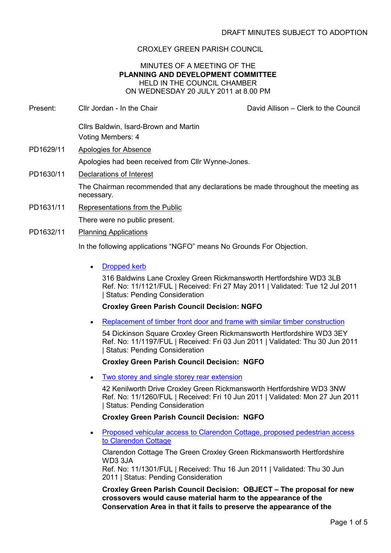# CROXLEY GREEN PARISH COUNCIL

### MINUTES OF A MEETING OF THE PLANNING AND DEVELOPMENT COMMITTEE HELD IN THE COUNCIL CHAMBER ON WEDNESDAY 20 JULY 2011 at 8.00 PM

- Present: Cllr Jordan In the Chair David Allison Clerk to the Council Cllrs Baldwin, Isard-Brown and Martin Voting Members: 4 PD1629/11 Apologies for Absence Apologies had been received from Cllr Wynne-Jones. PD1630/11 Declarations of Interest The Chairman recommended that any declarations be made throughout the meeting as necessary. PD1631/11 Representations from the Public There were no public present. PD1632/11 Planning Applications In the following applications "NGFO" means No Grounds For Objection.
	- **Dropped kerb**

316 Baldwins Lane Croxley Green Rickmansworth Hertfordshire WD3 3LB Ref. No: 11/1121/FUL | Received: Fri 27 May 2011 | Validated: Tue 12 Jul 2011 | Status: Pending Consideration

## Croxley Green Parish Council Decision: NGFO

• Replacement of timber front door and frame with similar timber construction

54 Dickinson Square Croxley Green Rickmansworth Hertfordshire WD3 3EY Ref. No: 11/1197/FUL | Received: Fri 03 Jun 2011 | Validated: Thu 30 Jun 2011 | Status: Pending Consideration

## Croxley Green Parish Council Decision: NGFO

• Two storey and single storey rear extension

42 Kenilworth Drive Croxley Green Rickmansworth Hertfordshire WD3 3NW Ref. No: 11/1260/FUL | Received: Fri 10 Jun 2011 | Validated: Mon 27 Jun 2011 | Status: Pending Consideration

## Croxley Green Parish Council Decision: NGFO

• Proposed vehicular access to Clarendon Cottage, proposed pedestrian access to Clarendon Cottage

Clarendon Cottage The Green Croxley Green Rickmansworth Hertfordshire WD3 3JA

Ref. No: 11/1301/FUL | Received: Thu 16 Jun 2011 | Validated: Thu 30 Jun 2011 | Status: Pending Consideration

Croxley Green Parish Council Decision: OBJECT – The proposal for new crossovers would cause material harm to the appearance of the Conservation Area in that it fails to preserve the appearance of the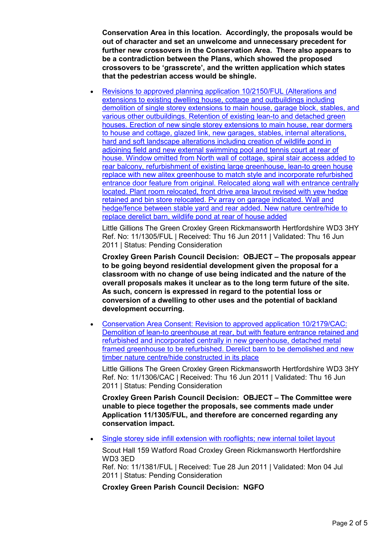Conservation Area in this location. Accordingly, the proposals would be out of character and set an unwelcome and unnecessary precedent for further new crossovers in the Conservation Area. There also appears to be a contradiction between the Plans, which showed the proposed crossovers to be 'grasscrete', and the written application which states that the pedestrian access would be shingle.

• Revisions to approved planning application 10/2150/FUL (Alterations and extensions to existing dwelling house, cottage and outbuildings including demolition of single storey extensions to main house, garage block, stables, and various other outbuildings. Retention of existing lean-to and detached green houses. Erection of new single storey extensions to main house, rear dormers to house and cottage, glazed link, new garages, stables, internal alterations, hard and soft landscape alterations including creation of wildlife pond in adjoining field and new external swimming pool and tennis court at rear of house. Window omitted from North wall of cottage, spiral stair access added to rear balcony, refurbishment of existing large greenhouse, lean-to green house replace with new alitex greenhouse to match style and incorporate refurbished entrance door feature from original. Relocated along wall with entrance centrally located. Plant room relocated, front drive area layout revised with yew hedge retained and bin store relocated. Pv array on garage indicated. Wall and hedge/fence between stable yard and rear added. New nature centre/hide to replace derelict barn, wildlife pond at rear of house added

Little Gillions The Green Croxley Green Rickmansworth Hertfordshire WD3 3HY Ref. No: 11/1305/FUL | Received: Thu 16 Jun 2011 | Validated: Thu 16 Jun 2011 | Status: Pending Consideration

Croxley Green Parish Council Decision: OBJECT – The proposals appear to be going beyond residential development given the proposal for a classroom with no change of use being indicated and the nature of the overall proposals makes it unclear as to the long term future of the site. As such, concern is expressed in regard to the potential loss or conversion of a dwelling to other uses and the potential of backland development occurring.

• Conservation Area Consent: Revision to approved application 10/2179/CAC: Demolition of lean-to greenhouse at rear, but with feature entrance retained and refurbished and incorporated centrally in new greenhouse, detached metal framed greenhouse to be refurbished. Derelict barn to be demolished and new timber nature centre/hide constructed in its place

Little Gillions The Green Croxley Green Rickmansworth Hertfordshire WD3 3HY Ref. No: 11/1306/CAC | Received: Thu 16 Jun 2011 | Validated: Thu 16 Jun 2011 | Status: Pending Consideration

Croxley Green Parish Council Decision: OBJECT – The Committee were unable to piece together the proposals, see comments made under Application 11/1305/FUL, and therefore are concerned regarding any conservation impact.

• Single storey side infill extension with rooflights; new internal toilet layout

Scout Hall 159 Watford Road Croxley Green Rickmansworth Hertfordshire WD3 3ED

Ref. No: 11/1381/FUL | Received: Tue 28 Jun 2011 | Validated: Mon 04 Jul 2011 | Status: Pending Consideration

Croxley Green Parish Council Decision: NGFO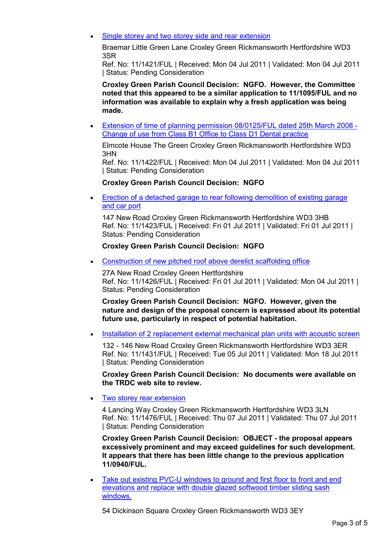Single storey and two storey side and rear extension

Braemar Little Green Lane Croxley Green Rickmansworth Hertfordshire WD3 3SR

Ref. No: 11/1421/FUL | Received: Mon 04 Jul 2011 | Validated: Mon 04 Jul 2011 | Status: Pending Consideration

Croxley Green Parish Council Decision: NGFO. However, the Committee noted that this appeared to be a similar application to 11/1095/FUL and no information was available to explain why a fresh application was being made.

• Extension of time of planning permission 08/0125/FUL dated 25th March 2008 - Change of use from Class B1 Office to Class D1 Dental practice

Elmcote House The Green Croxley Green Rickmansworth Hertfordshire WD3 3HN

Ref. No: 11/1422/FUL | Received: Mon 04 Jul 2011 | Validated: Mon 04 Jul 2011 | Status: Pending Consideration

#### Croxley Green Parish Council Decision: NGFO

• Erection of a detached garage to rear following demolition of existing garage and car port

147 New Road Croxley Green Rickmansworth Hertfordshire WD3 3HB Ref. No: 11/1423/FUL | Received: Fri 01 Jul 2011 | Validated: Fri 01 Jul 2011 | Status: Pending Consideration

### Croxley Green Parish Council Decision: NGFO

• Construction of new pitched roof above derelict scaffolding office

27A New Road Croxley Green Hertfordshire Ref. No: 11/1426/FUL | Received: Fri 01 Jul 2011 | Validated: Mon 04 Jul 2011 | Status: Pending Consideration

Croxley Green Parish Council Decision: NGFO. However, given the nature and design of the proposal concern is expressed about its potential future use, particularly in respect of potential habitation.

• Installation of 2 replacement external mechanical plan units with acoustic screen

132 - 146 New Road Croxley Green Rickmansworth Hertfordshire WD3 3ER Ref. No: 11/1431/FUL | Received: Tue 05 Jul 2011 | Validated: Mon 18 Jul 2011 | Status: Pending Consideration

Croxley Green Parish Council Decision: No documents were available on the TRDC web site to review.

• Two storey rear extension

4 Lancing Way Croxley Green Rickmansworth Hertfordshire WD3 3LN Ref. No: 11/1476/FUL | Received: Thu 07 Jul 2011 | Validated: Thu 07 Jul 2011 | Status: Pending Consideration

Croxley Green Parish Council Decision: OBJECT - the proposal appears excessively prominent and may exceed guidelines for such development. It appears that there has been little change to the previous application 11/0940/FUL.

Take out existing PVC-U windows to ground and first floor to front and end elevations and replace with double glazed softwood timber sliding sash windows.

54 Dickinson Square Croxley Green Rickmansworth WD3 3EY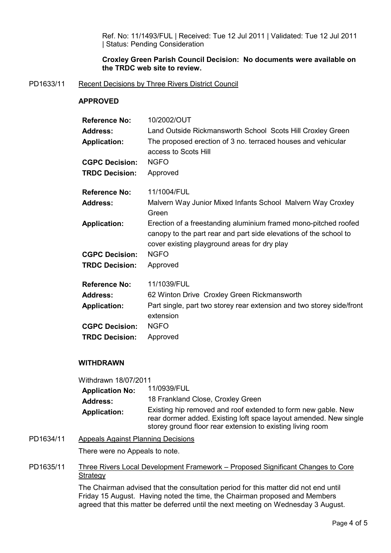Ref. No: 11/1493/FUL | Received: Tue 12 Jul 2011 | Validated: Tue 12 Jul 2011 | Status: Pending Consideration

## Croxley Green Parish Council Decision: No documents were available on the TRDC web site to review.

## PD1633/11 Recent Decisions by Three Rivers District Council

### APPROVED

| <b>Reference No:</b>  | 10/2002/OUT                                                                                                                                                                          |
|-----------------------|--------------------------------------------------------------------------------------------------------------------------------------------------------------------------------------|
| <b>Address:</b>       | Land Outside Rickmansworth School Scots Hill Croxley Green                                                                                                                           |
| <b>Application:</b>   | The proposed erection of 3 no. terraced houses and vehicular<br>access to Scots Hill                                                                                                 |
| <b>CGPC Decision:</b> | <b>NGFO</b>                                                                                                                                                                          |
| <b>TRDC Decision:</b> | Approved                                                                                                                                                                             |
| <b>Reference No:</b>  | 11/1004/FUL                                                                                                                                                                          |
| <b>Address:</b>       | Malvern Way Junior Mixed Infants School Malvern Way Croxley<br>Green                                                                                                                 |
| <b>Application:</b>   | Erection of a freestanding aluminium framed mono-pitched roofed<br>canopy to the part rear and part side elevations of the school to<br>cover existing playground areas for dry play |
| <b>CGPC Decision:</b> | <b>NGFO</b>                                                                                                                                                                          |
| <b>TRDC Decision:</b> | Approved                                                                                                                                                                             |
| <b>Reference No:</b>  | 11/1039/FUL                                                                                                                                                                          |
| <b>Address:</b>       | 62 Winton Drive Croxley Green Rickmansworth                                                                                                                                          |
| <b>Application:</b>   | Part single, part two storey rear extension and two storey side/front<br>extension                                                                                                   |
| <b>CGPC Decision:</b> | <b>NGFO</b>                                                                                                                                                                          |
| <b>TRDC Decision:</b> | Approved                                                                                                                                                                             |

## WITHDRAWN

| Withdrawn 18/07/2011   |                                                                                                                                                                                                  |
|------------------------|--------------------------------------------------------------------------------------------------------------------------------------------------------------------------------------------------|
| <b>Application No:</b> | 11/0939/FUL                                                                                                                                                                                      |
| <b>Address:</b>        | 18 Frankland Close, Croxley Green                                                                                                                                                                |
| <b>Application:</b>    | Existing hip removed and roof extended to form new gable. New<br>rear dormer added. Existing loft space layout amended. New single<br>storey ground floor rear extension to existing living room |

- PD1634/11 Appeals Against Planning Decisions There were no Appeals to note.
- PD1635/11 Three Rivers Local Development Framework Proposed Significant Changes to Core **Strategy**

The Chairman advised that the consultation period for this matter did not end until Friday 15 August. Having noted the time, the Chairman proposed and Members agreed that this matter be deferred until the next meeting on Wednesday 3 August.